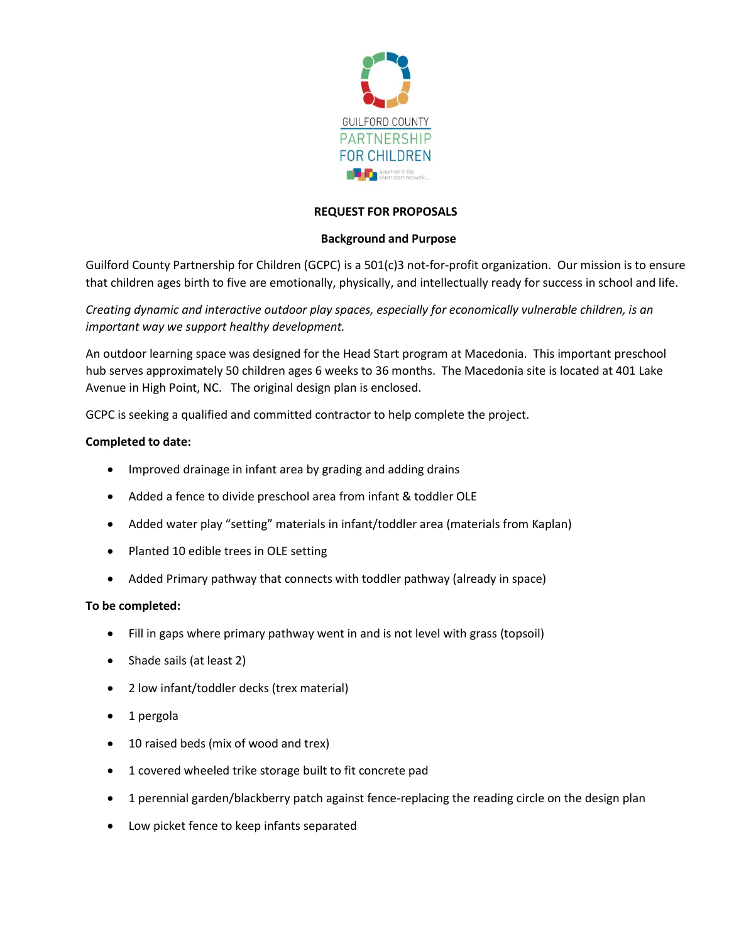

# **REQUEST FOR PROPOSALS**

# **Background and Purpose**

Guilford County Partnership for Children (GCPC) is a 501(c)3 not-for-profit organization. Our mission is to ensure that children ages birth to five are emotionally, physically, and intellectually ready for success in school and life.

*Creating dynamic and interactive outdoor play spaces, especially for economically vulnerable children, is an important way we support healthy development.* 

An outdoor learning space was designed for the Head Start program at Macedonia. This important preschool hub serves approximately 50 children ages 6 weeks to 36 months. The Macedonia site is located at 401 Lake Avenue in High Point, NC. The original design plan is enclosed.

GCPC is seeking a qualified and committed contractor to help complete the project.

### **Completed to date:**

- Improved drainage in infant area by grading and adding drains
- Added a fence to divide preschool area from infant & toddler OLE
- Added water play "setting" materials in infant/toddler area (materials from Kaplan)
- Planted 10 edible trees in OLE setting
- Added Primary pathway that connects with toddler pathway (already in space)

#### **To be completed:**

- Fill in gaps where primary pathway went in and is not level with grass (topsoil)
- Shade sails (at least 2)
- 2 low infant/toddler decks (trex material)
- 1 pergola
- 10 raised beds (mix of wood and trex)
- 1 covered wheeled trike storage built to fit concrete pad
- 1 perennial garden/blackberry patch against fence-replacing the reading circle on the design plan
- Low picket fence to keep infants separated